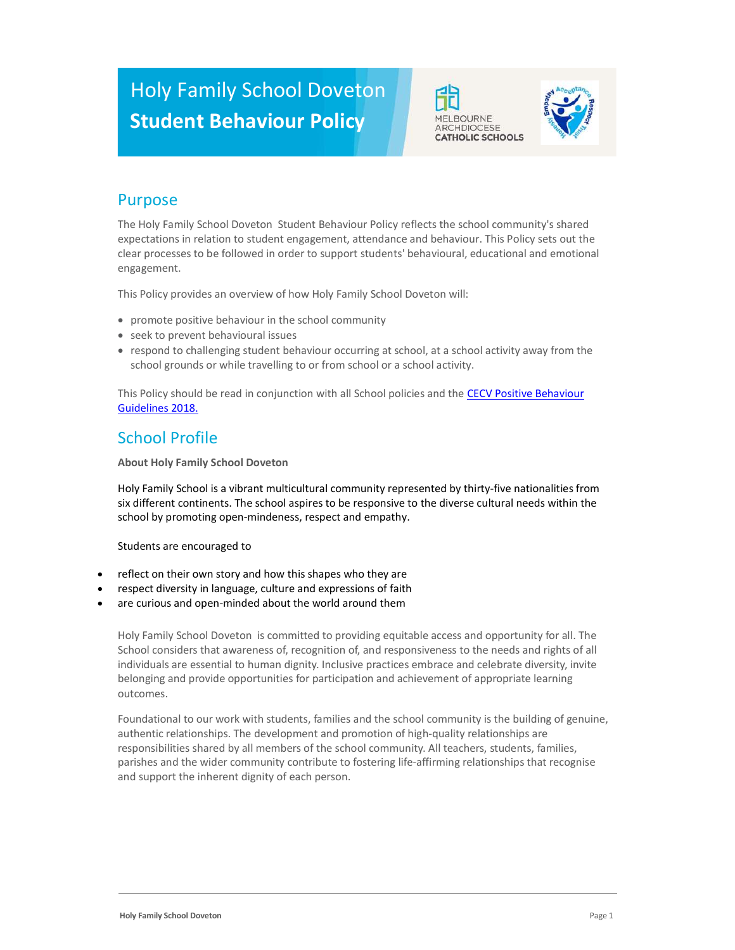# Holy Family School Doveton Student Behaviour Policy





# Purpose

The Holy Family School Doveton Student Behaviour Policy reflects the school community's shared expectations in relation to student engagement, attendance and behaviour. This Policy sets out the clear processes to be followed in order to support students' behavioural, educational and emotional engagement.

This Policy provides an overview of how Holy Family School Doveton will:

- promote positive behaviour in the school community
- seek to prevent behavioural issues
- respond to challenging student behaviour occurring at school, at a school activity away from the school grounds or while travelling to or from school or a school activity.

This Policy should be read in conjunction with all School policies and the CECV Positive Behaviour Guidelines 2018.

## School Profile

About Holy Family School Doveton

Holy Family School is a vibrant multicultural community represented by thirty-five nationalities from six different continents. The school aspires to be responsive to the diverse cultural needs within the school by promoting open-mindeness, respect and empathy.

Students are encouraged to

- reflect on their own story and how this shapes who they are
- respect diversity in language, culture and expressions of faith
- are curious and open-minded about the world around them

Holy Family School Doveton is committed to providing equitable access and opportunity for all. The School considers that awareness of, recognition of, and responsiveness to the needs and rights of all individuals are essential to human dignity. Inclusive practices embrace and celebrate diversity, invite belonging and provide opportunities for participation and achievement of appropriate learning outcomes.

Foundational to our work with students, families and the school community is the building of genuine, authentic relationships. The development and promotion of high-quality relationships are responsibilities shared by all members of the school community. All teachers, students, families, parishes and the wider community contribute to fostering life-affirming relationships that recognise and support the inherent dignity of each person.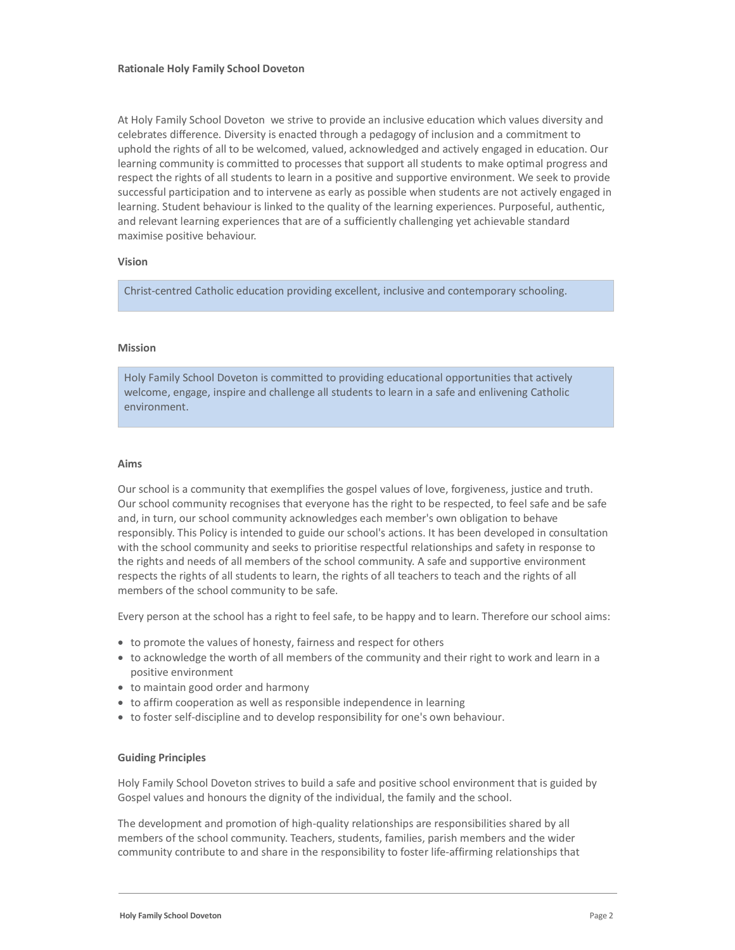At Holy Family School Doveton we strive to provide an inclusive education which values diversity and celebrates difference. Diversity is enacted through a pedagogy of inclusion and a commitment to uphold the rights of all to be welcomed, valued, acknowledged and actively engaged in education. Our learning community is committed to processes that support all students to make optimal progress and respect the rights of all students to learn in a positive and supportive environment. We seek to provide successful participation and to intervene as early as possible when students are not actively engaged in learning. Student behaviour is linked to the quality of the learning experiences. Purposeful, authentic, and relevant learning experiences that are of a sufficiently challenging yet achievable standard maximise positive behaviour.

#### Vision

Christ-centred Catholic education providing excellent, inclusive and contemporary schooling.

#### Mission

Holy Family School Doveton is committed to providing educational opportunities that actively welcome, engage, inspire and challenge all students to learn in a safe and enlivening Catholic environment.

#### Aims

Our school is a community that exemplifies the gospel values of love, forgiveness, justice and truth. Our school community recognises that everyone has the right to be respected, to feel safe and be safe and, in turn, our school community acknowledges each member's own obligation to behave responsibly. This Policy is intended to guide our school's actions. It has been developed in consultation with the school community and seeks to prioritise respectful relationships and safety in response to the rights and needs of all members of the school community. A safe and supportive environment respects the rights of all students to learn, the rights of all teachers to teach and the rights of all members of the school community to be safe.

Every person at the school has a right to feel safe, to be happy and to learn. Therefore our school aims:

- to promote the values of honesty, fairness and respect for others
- to acknowledge the worth of all members of the community and their right to work and learn in a positive environment
- to maintain good order and harmony
- to affirm cooperation as well as responsible independence in learning
- to foster self-discipline and to develop responsibility for one's own behaviour.

#### Guiding Principles

Holy Family School Doveton strives to build a safe and positive school environment that is guided by Gospel values and honours the dignity of the individual, the family and the school.

The development and promotion of high-quality relationships are responsibilities shared by all members of the school community. Teachers, students, families, parish members and the wider community contribute to and share in the responsibility to foster life-affirming relationships that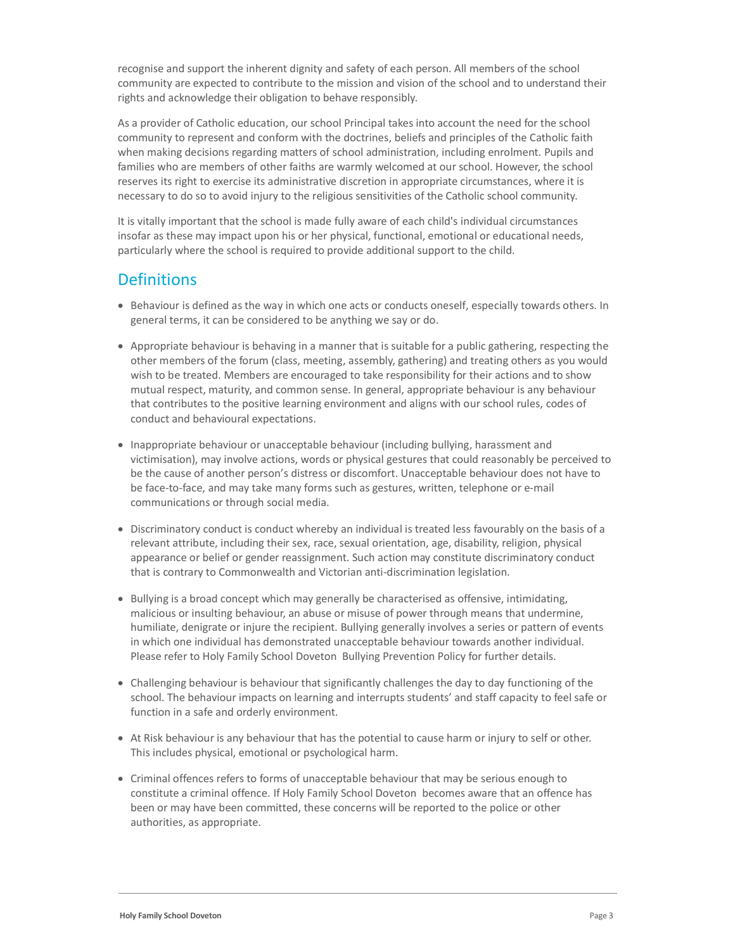recognise and support the inherent dignity and safety of each person. All members of the school community are expected to contribute to the mission and vision of the school and to understand their rights and acknowledge their obligation to behave responsibly.

As a provider of Catholic education, our school Principal takes into account the need for the school community to represent and conform with the doctrines, beliefs and principles of the Catholic faith when making decisions regarding matters of school administration, including enrolment. Pupils and families who are members of other faiths are warmly welcomed at our school. However, the school reserves its right to exercise its administrative discretion in appropriate circumstances, where it is necessary to do so to avoid injury to the religious sensitivities of the Catholic school community.

It is vitally important that the school is made fully aware of each child's individual circumstances insofar as these may impact upon his or her physical, functional, emotional or educational needs, particularly where the school is required to provide additional support to the child.

### **Definitions**

- Behaviour is defined as the way in which one acts or conducts oneself, especially towards others. In general terms, it can be considered to be anything we say or do.
- Appropriate behaviour is behaving in a manner that is suitable for a public gathering, respecting the other members of the forum (class, meeting, assembly, gathering) and treating others as you would wish to be treated. Members are encouraged to take responsibility for their actions and to show mutual respect, maturity, and common sense. In general, appropriate behaviour is any behaviour that contributes to the positive learning environment and aligns with our school rules, codes of conduct and behavioural expectations.
- Inappropriate behaviour or unacceptable behaviour (including bullying, harassment and victimisation), may involve actions, words or physical gestures that could reasonably be perceived to be the cause of another person's distress or discomfort. Unacceptable behaviour does not have to be face-to-face, and may take many forms such as gestures, written, telephone or e-mail communications or through social media.
- Discriminatory conduct is conduct whereby an individual is treated less favourably on the basis of a relevant attribute, including their sex, race, sexual orientation, age, disability, religion, physical appearance or belief or gender reassignment. Such action may constitute discriminatory conduct that is contrary to Commonwealth and Victorian anti-discrimination legislation.
- Bullying is a broad concept which may generally be characterised as offensive, intimidating, malicious or insulting behaviour, an abuse or misuse of power through means that undermine, humiliate, denigrate or injure the recipient. Bullying generally involves a series or pattern of events in which one individual has demonstrated unacceptable behaviour towards another individual. Please refer to Holy Family School Doveton Bullying Prevention Policy for further details.
- Challenging behaviour is behaviour that significantly challenges the day to day functioning of the school. The behaviour impacts on learning and interrupts students' and staff capacity to feel safe or function in a safe and orderly environment.
- At Risk behaviour is any behaviour that has the potential to cause harm or injury to self or other. This includes physical, emotional or psychological harm.
- Criminal offences refers to forms of unacceptable behaviour that may be serious enough to constitute a criminal offence. If Holy Family School Doveton becomes aware that an offence has been or may have been committed, these concerns will be reported to the police or other authorities, as appropriate.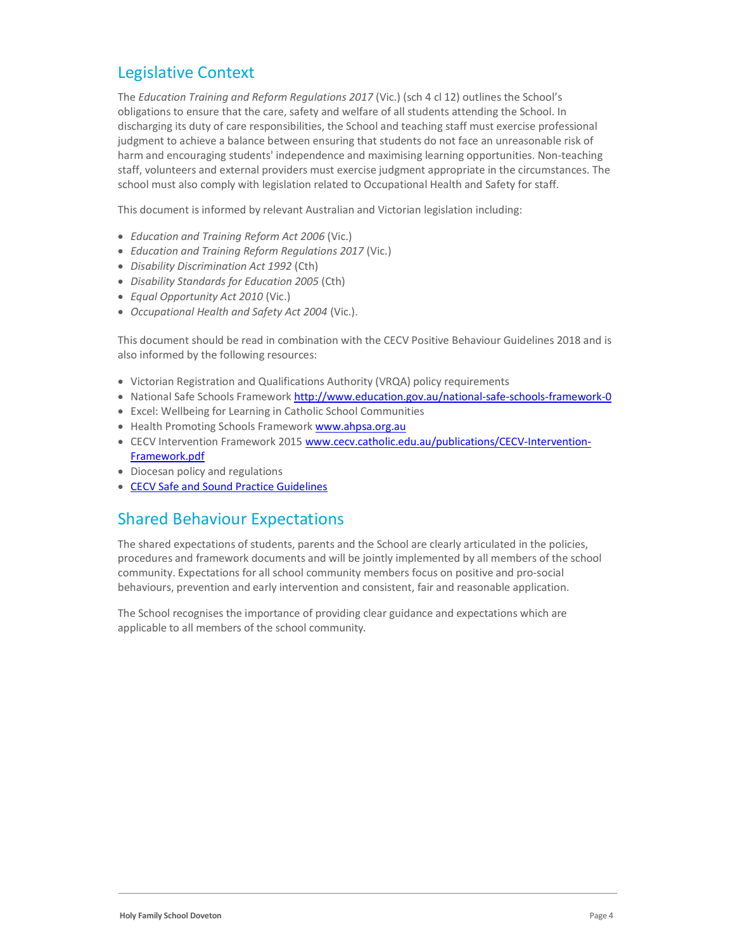# Legislative Context

The Education Training and Reform Regulations 2017 (Vic.) (sch 4 cl 12) outlines the School's obligations to ensure that the care, safety and welfare of all students attending the School. In discharging its duty of care responsibilities, the School and teaching staff must exercise professional judgment to achieve a balance between ensuring that students do not face an unreasonable risk of harm and encouraging students' independence and maximising learning opportunities. Non-teaching staff, volunteers and external providers must exercise judgment appropriate in the circumstances. The school must also comply with legislation related to Occupational Health and Safety for staff.

This document is informed by relevant Australian and Victorian legislation including:

- Education and Training Reform Act 2006 (Vic.)
- Education and Training Reform Regulations 2017 (Vic.)
- Disability Discrimination Act 1992 (Cth)
- Disability Standards for Education 2005 (Cth)
- Equal Opportunity Act 2010 (Vic.)
- Occupational Health and Safety Act 2004 (Vic.).

This document should be read in combination with the CECV Positive Behaviour Guidelines 2018 and is also informed by the following resources:

- Victorian Registration and Qualifications Authority (VRQA) policy requirements
- National Safe Schools Framework http://www.education.gov.au/national-safe-schools-framework-0
- Excel: Wellbeing for Learning in Catholic School Communities
- Health Promoting Schools Framework www.ahpsa.org.au
- CECV Intervention Framework 2015 www.cecv.catholic.edu.au/publications/CECV-Intervention-Framework.pdf
- Diocesan policy and regulations
- CECV Safe and Sound Practice Guidelines

### Shared Behaviour Expectations

The shared expectations of students, parents and the School are clearly articulated in the policies, procedures and framework documents and will be jointly implemented by all members of the school community. Expectations for all school community members focus on positive and pro-social behaviours, prevention and early intervention and consistent, fair and reasonable application.

The School recognises the importance of providing clear guidance and expectations which are applicable to all members of the school community.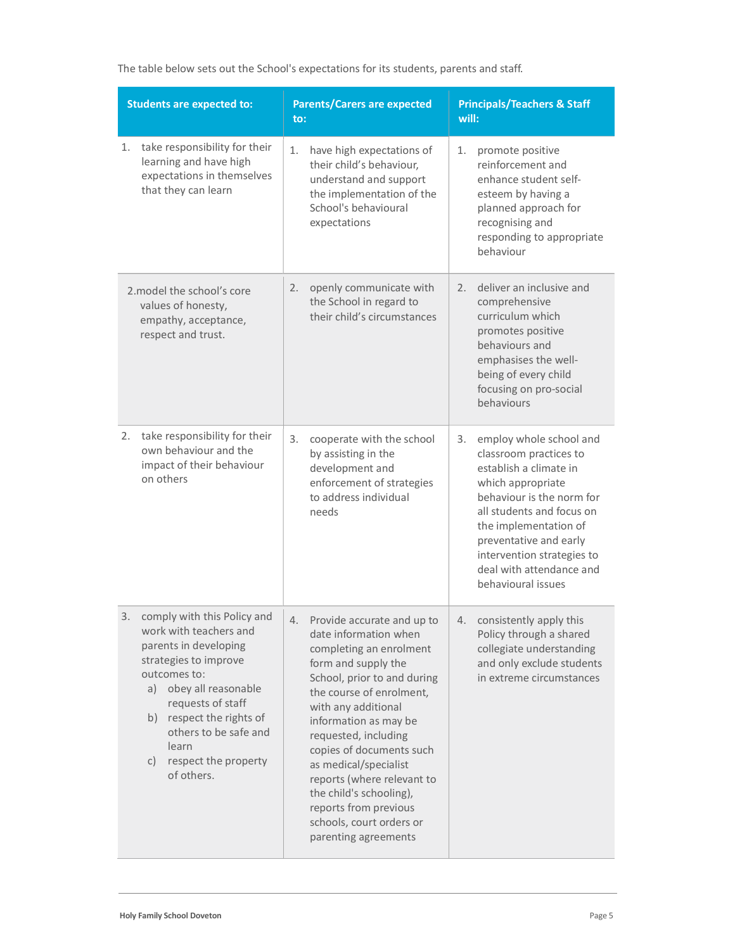| <b>Students are expected to:</b>                                                                                                                                                                                                                                                             | <b>Parents/Carers are expected</b><br>to:                                                                                                                                                                                                                                                                                                                                                                                                 | <b>Principals/Teachers &amp; Staff</b><br>will:                                                                                                                                                                                                                                                     |  |
|----------------------------------------------------------------------------------------------------------------------------------------------------------------------------------------------------------------------------------------------------------------------------------------------|-------------------------------------------------------------------------------------------------------------------------------------------------------------------------------------------------------------------------------------------------------------------------------------------------------------------------------------------------------------------------------------------------------------------------------------------|-----------------------------------------------------------------------------------------------------------------------------------------------------------------------------------------------------------------------------------------------------------------------------------------------------|--|
| take responsibility for their<br>1.<br>learning and have high<br>expectations in themselves<br>that they can learn                                                                                                                                                                           | 1.<br>have high expectations of<br>their child's behaviour,<br>understand and support<br>the implementation of the<br>School's behavioural<br>expectations                                                                                                                                                                                                                                                                                | 1.<br>promote positive<br>reinforcement and<br>enhance student self-<br>esteem by having a<br>planned approach for<br>recognising and<br>responding to appropriate<br>behaviour                                                                                                                     |  |
| 2.model the school's core<br>values of honesty,<br>empathy, acceptance,<br>respect and trust.                                                                                                                                                                                                | openly communicate with<br>2.<br>the School in regard to<br>their child's circumstances                                                                                                                                                                                                                                                                                                                                                   | deliver an inclusive and<br>2.<br>comprehensive<br>curriculum which<br>promotes positive<br>behaviours and<br>emphasises the well-<br>being of every child<br>focusing on pro-social<br>behaviours                                                                                                  |  |
| 2.<br>take responsibility for their<br>own behaviour and the<br>impact of their behaviour<br>on others                                                                                                                                                                                       | 3.<br>cooperate with the school<br>by assisting in the<br>development and<br>enforcement of strategies<br>to address individual<br>needs                                                                                                                                                                                                                                                                                                  | employ whole school and<br>3.<br>classroom practices to<br>establish a climate in<br>which appropriate<br>behaviour is the norm for<br>all students and focus on<br>the implementation of<br>preventative and early<br>intervention strategies to<br>deal with attendance and<br>behavioural issues |  |
| comply with this Policy and<br>3.<br>work with teachers and<br>parents in developing<br>strategies to improve<br>outcomes to:<br>obey all reasonable<br>a)<br>requests of staff<br>respect the rights of<br>b)<br>others to be safe and<br>learn<br>respect the property<br>C)<br>of others. | Provide accurate and up to<br>4.<br>date information when<br>completing an enrolment<br>form and supply the<br>School, prior to and during<br>the course of enrolment,<br>with any additional<br>information as may be<br>requested, including<br>copies of documents such<br>as medical/specialist<br>reports (where relevant to<br>the child's schooling),<br>reports from previous<br>schools, court orders or<br>parenting agreements | 4. consistently apply this<br>Policy through a shared<br>collegiate understanding<br>and only exclude students<br>in extreme circumstances                                                                                                                                                          |  |

The table below sets out the School's expectations for its students, parents and staff.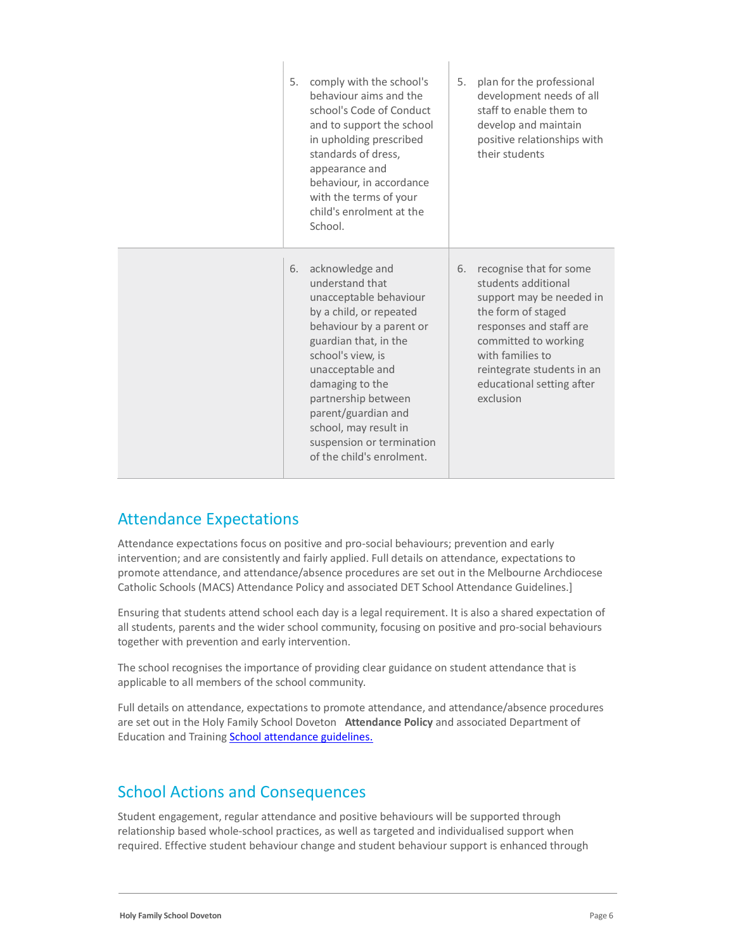| 5. | comply with the school's<br>behaviour aims and the<br>school's Code of Conduct<br>and to support the school<br>in upholding prescribed<br>standards of dress,<br>appearance and<br>behaviour, in accordance<br>with the terms of your<br>child's enrolment at the<br>School.                                                              | 5. | plan for the professional<br>development needs of all<br>staff to enable them to<br>develop and maintain<br>positive relationships with<br>their students                                                                                       |
|----|-------------------------------------------------------------------------------------------------------------------------------------------------------------------------------------------------------------------------------------------------------------------------------------------------------------------------------------------|----|-------------------------------------------------------------------------------------------------------------------------------------------------------------------------------------------------------------------------------------------------|
| 6. | acknowledge and<br>understand that<br>unacceptable behaviour<br>by a child, or repeated<br>behaviour by a parent or<br>guardian that, in the<br>school's view, is<br>unacceptable and<br>damaging to the<br>partnership between<br>parent/guardian and<br>school, may result in<br>suspension or termination<br>of the child's enrolment. | 6. | recognise that for some<br>students additional<br>support may be needed in<br>the form of staged<br>responses and staff are<br>committed to working<br>with families to<br>reintegrate students in an<br>educational setting after<br>exclusion |

 $\overline{\phantom{a}}$ 

### Attendance Expectations

Attendance expectations focus on positive and pro-social behaviours; prevention and early intervention; and are consistently and fairly applied. Full details on attendance, expectations to promote attendance, and attendance/absence procedures are set out in the Melbourne Archdiocese Catholic Schools (MACS) Attendance Policy and associated DET School Attendance Guidelines.]

Ensuring that students attend school each day is a legal requirement. It is also a shared expectation of all students, parents and the wider school community, focusing on positive and pro-social behaviours together with prevention and early intervention.

The school recognises the importance of providing clear guidance on student attendance that is applicable to all members of the school community.

Full details on attendance, expectations to promote attendance, and attendance/absence procedures are set out in the Holy Family School Doveton Attendance Policy and associated Department of Education and Training School attendance guidelines.

### School Actions and Consequences

Student engagement, regular attendance and positive behaviours will be supported through relationship based whole-school practices, as well as targeted and individualised support when required. Effective student behaviour change and student behaviour support is enhanced through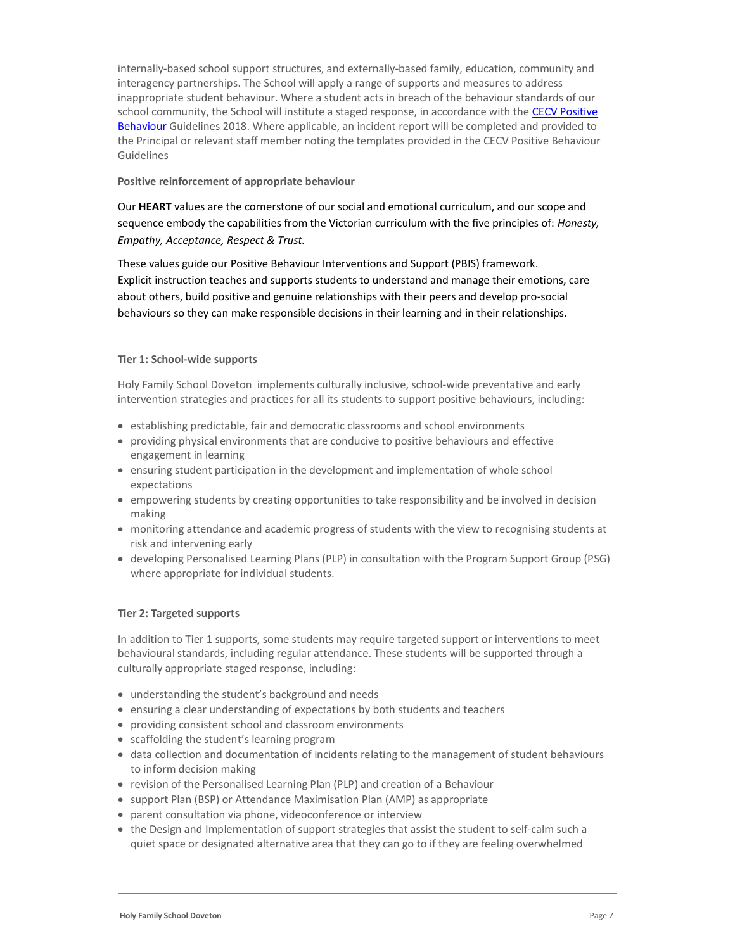internally-based school support structures, and externally-based family, education, community and interagency partnerships. The School will apply a range of supports and measures to address inappropriate student behaviour. Where a student acts in breach of the behaviour standards of our school community, the School will institute a staged response, in accordance with the CECV Positive Behaviour Guidelines 2018. Where applicable, an incident report will be completed and provided to the Principal or relevant staff member noting the templates provided in the CECV Positive Behaviour Guidelines

#### Positive reinforcement of appropriate behaviour

Our HEART values are the cornerstone of our social and emotional curriculum, and our scope and sequence embody the capabilities from the Victorian curriculum with the five principles of: Honesty, Empathy, Acceptance, Respect & Trust.

These values guide our Positive Behaviour Interventions and Support (PBIS) framework. Explicit instruction teaches and supports students to understand and manage their emotions, care about others, build positive and genuine relationships with their peers and develop pro-social behaviours so they can make responsible decisions in their learning and in their relationships.

### Tier 1: School-wide supports

Holy Family School Doveton implements culturally inclusive, school-wide preventative and early intervention strategies and practices for all its students to support positive behaviours, including:

- establishing predictable, fair and democratic classrooms and school environments
- providing physical environments that are conducive to positive behaviours and effective engagement in learning
- ensuring student participation in the development and implementation of whole school expectations
- empowering students by creating opportunities to take responsibility and be involved in decision making
- monitoring attendance and academic progress of students with the view to recognising students at risk and intervening early
- developing Personalised Learning Plans (PLP) in consultation with the Program Support Group (PSG) where appropriate for individual students.

### Tier 2: Targeted supports

In addition to Tier 1 supports, some students may require targeted support or interventions to meet behavioural standards, including regular attendance. These students will be supported through a culturally appropriate staged response, including:

- understanding the student's background and needs
- ensuring a clear understanding of expectations by both students and teachers
- providing consistent school and classroom environments
- scaffolding the student's learning program
- data collection and documentation of incidents relating to the management of student behaviours to inform decision making
- revision of the Personalised Learning Plan (PLP) and creation of a Behaviour
- support Plan (BSP) or Attendance Maximisation Plan (AMP) as appropriate
- parent consultation via phone, videoconference or interview
- the Design and Implementation of support strategies that assist the student to self-calm such a quiet space or designated alternative area that they can go to if they are feeling overwhelmed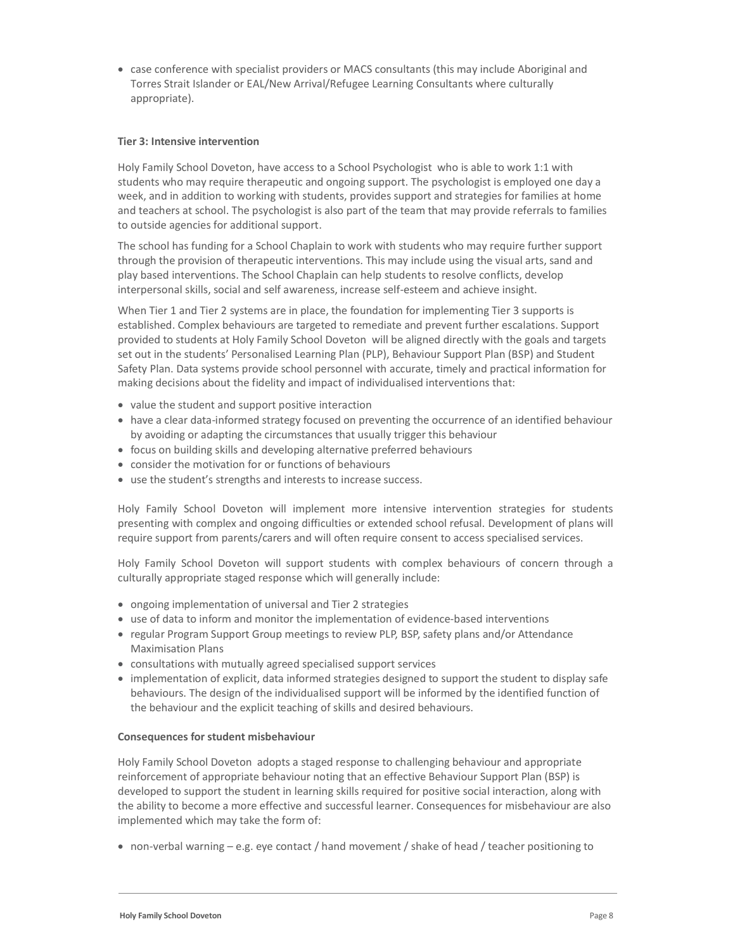case conference with specialist providers or MACS consultants (this may include Aboriginal and Torres Strait Islander or EAL/New Arrival/Refugee Learning Consultants where culturally appropriate).

### Tier 3: Intensive intervention

Holy Family School Doveton, have access to a School Psychologist who is able to work 1:1 with students who may require therapeutic and ongoing support. The psychologist is employed one day a week, and in addition to working with students, provides support and strategies for families at home and teachers at school. The psychologist is also part of the team that may provide referrals to families to outside agencies for additional support.

The school has funding for a School Chaplain to work with students who may require further support through the provision of therapeutic interventions. This may include using the visual arts, sand and play based interventions. The School Chaplain can help students to resolve conflicts, develop interpersonal skills, social and self awareness, increase self-esteem and achieve insight.

When Tier 1 and Tier 2 systems are in place, the foundation for implementing Tier 3 supports is established. Complex behaviours are targeted to remediate and prevent further escalations. Support provided to students at Holy Family School Doveton will be aligned directly with the goals and targets set out in the students' Personalised Learning Plan (PLP), Behaviour Support Plan (BSP) and Student Safety Plan. Data systems provide school personnel with accurate, timely and practical information for making decisions about the fidelity and impact of individualised interventions that:

- value the student and support positive interaction
- have a clear data-informed strategy focused on preventing the occurrence of an identified behaviour by avoiding or adapting the circumstances that usually trigger this behaviour
- focus on building skills and developing alternative preferred behaviours
- consider the motivation for or functions of behaviours
- use the student's strengths and interests to increase success.

Holy Family School Doveton will implement more intensive intervention strategies for students presenting with complex and ongoing difficulties or extended school refusal. Development of plans will require support from parents/carers and will often require consent to access specialised services.

Holy Family School Doveton will support students with complex behaviours of concern through a culturally appropriate staged response which will generally include:

- ongoing implementation of universal and Tier 2 strategies
- use of data to inform and monitor the implementation of evidence-based interventions
- regular Program Support Group meetings to review PLP, BSP, safety plans and/or Attendance Maximisation Plans
- consultations with mutually agreed specialised support services
- implementation of explicit, data informed strategies designed to support the student to display safe behaviours. The design of the individualised support will be informed by the identified function of the behaviour and the explicit teaching of skills and desired behaviours.

#### Consequences for student misbehaviour

Holy Family School Doveton adopts a staged response to challenging behaviour and appropriate reinforcement of appropriate behaviour noting that an effective Behaviour Support Plan (BSP) is developed to support the student in learning skills required for positive social interaction, along with the ability to become a more effective and successful learner. Consequences for misbehaviour are also implemented which may take the form of:

non-verbal warning – e.g. eye contact / hand movement / shake of head / teacher positioning to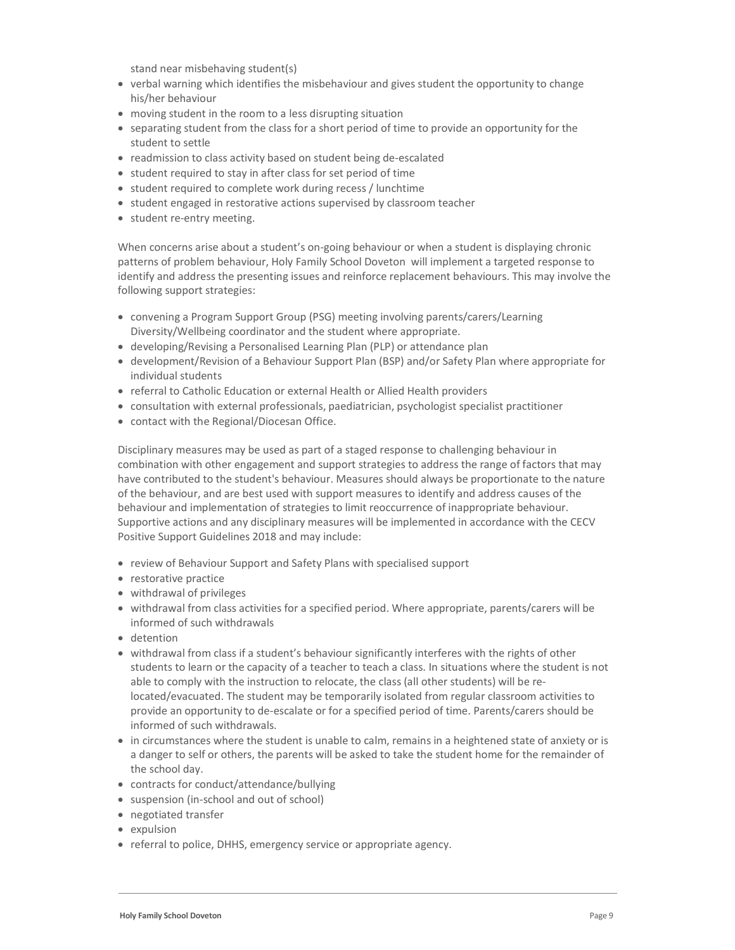stand near misbehaving student(s)

- verbal warning which identifies the misbehaviour and gives student the opportunity to change his/her behaviour
- moving student in the room to a less disrupting situation
- separating student from the class for a short period of time to provide an opportunity for the student to settle
- readmission to class activity based on student being de-escalated
- student required to stay in after class for set period of time
- student required to complete work during recess / lunchtime
- student engaged in restorative actions supervised by classroom teacher
- student re-entry meeting.

When concerns arise about a student's on-going behaviour or when a student is displaying chronic patterns of problem behaviour, Holy Family School Doveton will implement a targeted response to identify and address the presenting issues and reinforce replacement behaviours. This may involve the following support strategies:

- convening a Program Support Group (PSG) meeting involving parents/carers/Learning Diversity/Wellbeing coordinator and the student where appropriate.
- developing/Revising a Personalised Learning Plan (PLP) or attendance plan
- development/Revision of a Behaviour Support Plan (BSP) and/or Safety Plan where appropriate for individual students
- referral to Catholic Education or external Health or Allied Health providers
- consultation with external professionals, paediatrician, psychologist specialist practitioner
- contact with the Regional/Diocesan Office.

Disciplinary measures may be used as part of a staged response to challenging behaviour in combination with other engagement and support strategies to address the range of factors that may have contributed to the student's behaviour. Measures should always be proportionate to the nature of the behaviour, and are best used with support measures to identify and address causes of the behaviour and implementation of strategies to limit reoccurrence of inappropriate behaviour. Supportive actions and any disciplinary measures will be implemented in accordance with the CECV Positive Support Guidelines 2018 and may include:

- review of Behaviour Support and Safety Plans with specialised support
- restorative practice
- withdrawal of privileges
- withdrawal from class activities for a specified period. Where appropriate, parents/carers will be informed of such withdrawals
- detention
- withdrawal from class if a student's behaviour significantly interferes with the rights of other students to learn or the capacity of a teacher to teach a class. In situations where the student is not able to comply with the instruction to relocate, the class (all other students) will be relocated/evacuated. The student may be temporarily isolated from regular classroom activities to provide an opportunity to de-escalate or for a specified period of time. Parents/carers should be informed of such withdrawals.
- in circumstances where the student is unable to calm, remains in a heightened state of anxiety or is a danger to self or others, the parents will be asked to take the student home for the remainder of the school day.
- contracts for conduct/attendance/bullying
- suspension (in-school and out of school)
- negotiated transfer
- expulsion
- referral to police, DHHS, emergency service or appropriate agency.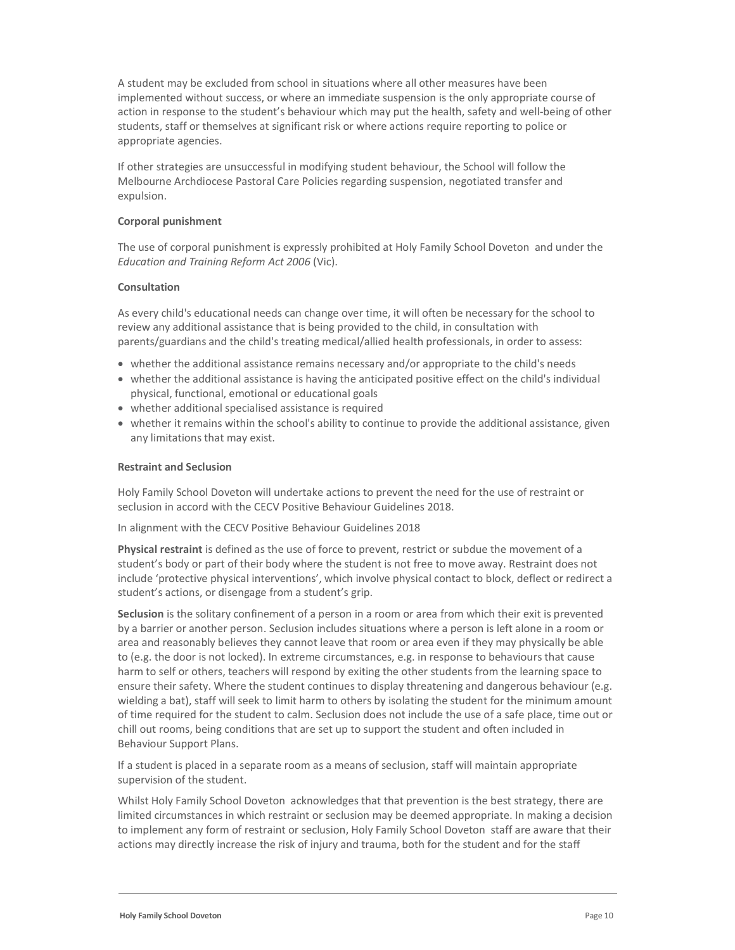A student may be excluded from school in situations where all other measures have been implemented without success, or where an immediate suspension is the only appropriate course of action in response to the student's behaviour which may put the health, safety and well-being of other students, staff or themselves at significant risk or where actions require reporting to police or appropriate agencies.

If other strategies are unsuccessful in modifying student behaviour, the School will follow the Melbourne Archdiocese Pastoral Care Policies regarding suspension, negotiated transfer and expulsion.

#### Corporal punishment

The use of corporal punishment is expressly prohibited at Holy Family School Doveton and under the Education and Training Reform Act 2006 (Vic).

### Consultation

As every child's educational needs can change over time, it will often be necessary for the school to review any additional assistance that is being provided to the child, in consultation with parents/guardians and the child's treating medical/allied health professionals, in order to assess:

- whether the additional assistance remains necessary and/or appropriate to the child's needs
- whether the additional assistance is having the anticipated positive effect on the child's individual physical, functional, emotional or educational goals
- whether additional specialised assistance is required
- whether it remains within the school's ability to continue to provide the additional assistance, given any limitations that may exist.

#### Restraint and Seclusion

Holy Family School Doveton will undertake actions to prevent the need for the use of restraint or seclusion in accord with the CECV Positive Behaviour Guidelines 2018.

In alignment with the CECV Positive Behaviour Guidelines 2018

Physical restraint is defined as the use of force to prevent, restrict or subdue the movement of a student's body or part of their body where the student is not free to move away. Restraint does not include 'protective physical interventions', which involve physical contact to block, deflect or redirect a student's actions, or disengage from a student's grip.

Seclusion is the solitary confinement of a person in a room or area from which their exit is prevented by a barrier or another person. Seclusion includes situations where a person is left alone in a room or area and reasonably believes they cannot leave that room or area even if they may physically be able to (e.g. the door is not locked). In extreme circumstances, e.g. in response to behaviours that cause harm to self or others, teachers will respond by exiting the other students from the learning space to ensure their safety. Where the student continues to display threatening and dangerous behaviour (e.g. wielding a bat), staff will seek to limit harm to others by isolating the student for the minimum amount of time required for the student to calm. Seclusion does not include the use of a safe place, time out or chill out rooms, being conditions that are set up to support the student and often included in Behaviour Support Plans.

If a student is placed in a separate room as a means of seclusion, staff will maintain appropriate supervision of the student.

Whilst Holy Family School Doveton acknowledges that that prevention is the best strategy, there are limited circumstances in which restraint or seclusion may be deemed appropriate. In making a decision to implement any form of restraint or seclusion, Holy Family School Doveton staff are aware that their actions may directly increase the risk of injury and trauma, both for the student and for the staff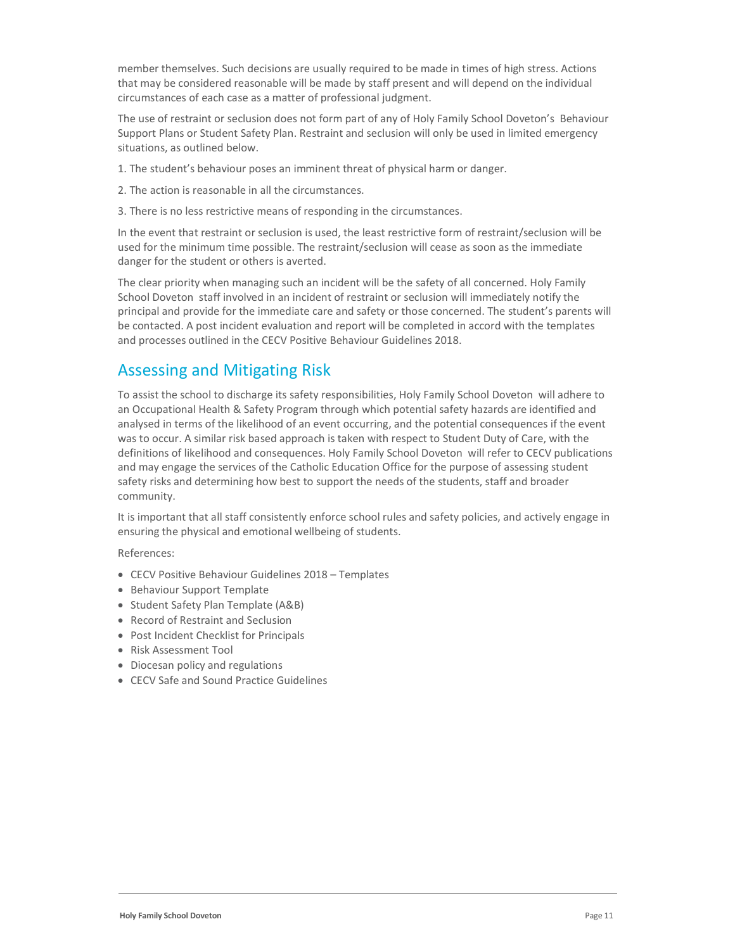member themselves. Such decisions are usually required to be made in times of high stress. Actions that may be considered reasonable will be made by staff present and will depend on the individual circumstances of each case as a matter of professional judgment.

The use of restraint or seclusion does not form part of any of Holy Family School Doveton's Behaviour Support Plans or Student Safety Plan. Restraint and seclusion will only be used in limited emergency situations, as outlined below.

- 1. The student's behaviour poses an imminent threat of physical harm or danger.
- 2. The action is reasonable in all the circumstances.
- 3. There is no less restrictive means of responding in the circumstances.

In the event that restraint or seclusion is used, the least restrictive form of restraint/seclusion will be used for the minimum time possible. The restraint/seclusion will cease as soon as the immediate danger for the student or others is averted.

The clear priority when managing such an incident will be the safety of all concerned. Holy Family School Doveton staff involved in an incident of restraint or seclusion will immediately notify the principal and provide for the immediate care and safety or those concerned. The student's parents will be contacted. A post incident evaluation and report will be completed in accord with the templates and processes outlined in the CECV Positive Behaviour Guidelines 2018.

## Assessing and Mitigating Risk

To assist the school to discharge its safety responsibilities, Holy Family School Doveton will adhere to an Occupational Health & Safety Program through which potential safety hazards are identified and analysed in terms of the likelihood of an event occurring, and the potential consequences if the event was to occur. A similar risk based approach is taken with respect to Student Duty of Care, with the definitions of likelihood and consequences. Holy Family School Doveton will refer to CECV publications and may engage the services of the Catholic Education Office for the purpose of assessing student safety risks and determining how best to support the needs of the students, staff and broader community.

It is important that all staff consistently enforce school rules and safety policies, and actively engage in ensuring the physical and emotional wellbeing of students.

References:

- CECV Positive Behaviour Guidelines 2018 Templates
- **Behaviour Support Template**
- Student Safety Plan Template (A&B)
- Record of Restraint and Seclusion
- Post Incident Checklist for Principals
- Risk Assessment Tool
- Diocesan policy and regulations
- CECV Safe and Sound Practice Guidelines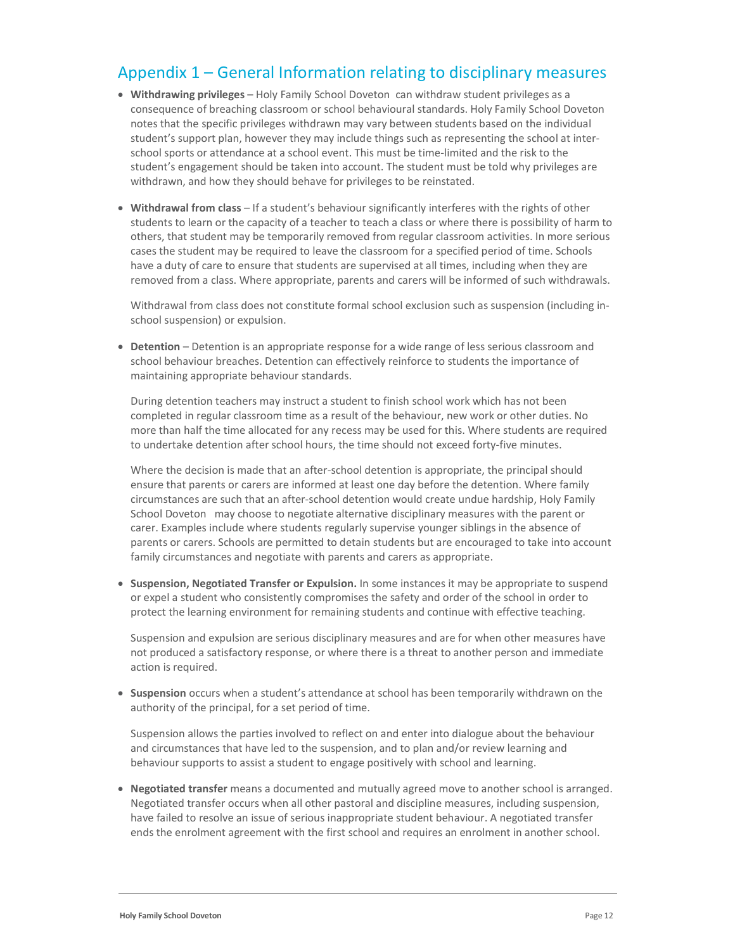## Appendix 1 – General Information relating to disciplinary measures

- Withdrawing privileges Holy Family School Doveton can withdraw student privileges as a consequence of breaching classroom or school behavioural standards. Holy Family School Doveton notes that the specific privileges withdrawn may vary between students based on the individual student's support plan, however they may include things such as representing the school at interschool sports or attendance at a school event. This must be time-limited and the risk to the student's engagement should be taken into account. The student must be told why privileges are withdrawn, and how they should behave for privileges to be reinstated.
- Withdrawal from class If a student's behaviour significantly interferes with the rights of other students to learn or the capacity of a teacher to teach a class or where there is possibility of harm to others, that student may be temporarily removed from regular classroom activities. In more serious cases the student may be required to leave the classroom for a specified period of time. Schools have a duty of care to ensure that students are supervised at all times, including when they are removed from a class. Where appropriate, parents and carers will be informed of such withdrawals.

Withdrawal from class does not constitute formal school exclusion such as suspension (including inschool suspension) or expulsion.

 Detention – Detention is an appropriate response for a wide range of less serious classroom and school behaviour breaches. Detention can effectively reinforce to students the importance of maintaining appropriate behaviour standards.

During detention teachers may instruct a student to finish school work which has not been completed in regular classroom time as a result of the behaviour, new work or other duties. No more than half the time allocated for any recess may be used for this. Where students are required to undertake detention after school hours, the time should not exceed forty-five minutes.

Where the decision is made that an after-school detention is appropriate, the principal should ensure that parents or carers are informed at least one day before the detention. Where family circumstances are such that an after-school detention would create undue hardship, Holy Family School Doveton may choose to negotiate alternative disciplinary measures with the parent or carer. Examples include where students regularly supervise younger siblings in the absence of parents or carers. Schools are permitted to detain students but are encouraged to take into account family circumstances and negotiate with parents and carers as appropriate.

 Suspension, Negotiated Transfer or Expulsion. In some instances it may be appropriate to suspend or expel a student who consistently compromises the safety and order of the school in order to protect the learning environment for remaining students and continue with effective teaching.

Suspension and expulsion are serious disciplinary measures and are for when other measures have not produced a satisfactory response, or where there is a threat to another person and immediate action is required.

• Suspension occurs when a student's attendance at school has been temporarily withdrawn on the authority of the principal, for a set period of time.

Suspension allows the parties involved to reflect on and enter into dialogue about the behaviour and circumstances that have led to the suspension, and to plan and/or review learning and behaviour supports to assist a student to engage positively with school and learning.

 Negotiated transfer means a documented and mutually agreed move to another school is arranged. Negotiated transfer occurs when all other pastoral and discipline measures, including suspension, have failed to resolve an issue of serious inappropriate student behaviour. A negotiated transfer ends the enrolment agreement with the first school and requires an enrolment in another school.